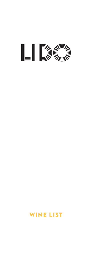

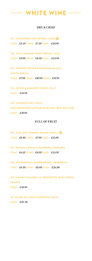# **WHITE WINE**

#### DRY & CRISP

**01. valdemoro sauvignon, chile** 175ml – £5.25 250ml – £7.25 Bottle – £20.95

**02. villa molino pinot grigio, italy** 175ml – £5.95 250ml – £8.55 Bottle – £24.95

**03. lomond estate sauvignon blanc, south africa** 175ml – £7.95 250ml – £10.95 Bottle – £31.95

**04. schola sarmenti fiano, italy** Bottle – £33.95

**05. lawson's dry hills, marlborough sauvignon blanc, new zealand** Bottle – £39.95

### FULL OF FRUIT

**06. still bay chenin, south africa** 175ml – £5.85 250ml – £7.95 Bottle – £23.95

**07. fetiasca regala paparuda, romania**  $175ml - £6.15250ml - £8.55 Bottle - £24.95$ 

**08. goyenechea chardonnay, argentina** 175ml – £6.55 250ml – £8.85 Bottle – £26.50

**09. macon villages la crochette jean loron, fr ance** Bottle – £35.95

**10. pa zos de lusco albarino, spain** Bottle – £39 .95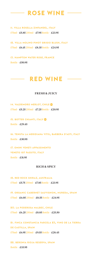# $-$  ROSE WINE  $-$

**11. villa rosella zinfandel, italy** 175ml – £5.85 250ml – £7.95 Bottle – £23.95

**12. villa molino pinot grigio blush, italy** 175ml – £6.15 250ml – £8.35 Bottle – £24.95

**13. hampton water rose, fr ance** Bottle – £50.95

## **RED WINE**

#### FRESH & JUICY

**14. valdemoro merlot, chile** 175ml – £5.25 250ml – £7.25 Bottle – £20.95

**15. botter chianti, italy** Bottle – £29.45

**16. tenuta la meridiana vitis, barber a d'asti, italy** Bottle – £30.95

**17. omini veneti appassimento veneto igt passito, italy** Bottle – £31.95

#### RICH & SPICY

**18. red rock shir a z, austr alia** 175ml – £5.75 250ml – £7.85 Bottle – £23.95

**19. organic cabernet sauvignon, mureda, spain** 175ml – £6.05 250ml – £8.55 Bottle – £24.95

**20. la poderosa malbec, chile**  $175ml - \pounds6.25250ml - \pounds8.85Bottle - \pounds25.50$ 

**21. finca constancia parcela 23, vino de la tierr a de castilla, spain** 175ml – £6.95 250ml – £9.55 Bottle – £28.45

**22. beronia rioja reserva, spain** Bottle – £33.95